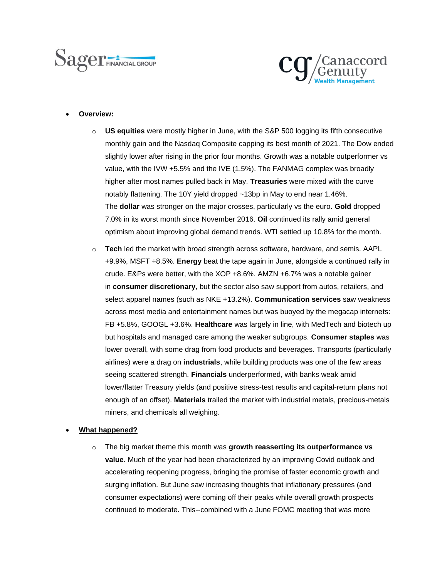



#### • **Overview:**

- o **US equities** were mostly higher in June, with the S&P 500 logging its fifth consecutive monthly gain and the Nasdaq Composite capping its best month of 2021. The Dow ended slightly lower after rising in the prior four months. Growth was a notable outperformer vs value, with the IVW +5.5% and the IVE (1.5%). The FANMAG complex was broadly higher after most names pulled back in May. **Treasuries** were mixed with the curve notably flattening. The 10Y yield dropped ~13bp in May to end near 1.46%. The **dollar** was stronger on the major crosses, particularly vs the euro. **Gold** dropped 7.0% in its worst month since November 2016. **Oil** continued its rally amid general optimism about improving global demand trends. WTI settled up 10.8% for the month.
- o **Tech** led the market with broad strength across software, hardware, and semis. AAPL +9.9%, MSFT +8.5%. **Energy** beat the tape again in June, alongside a continued rally in crude. E&Ps were better, with the XOP +8.6%. AMZN +6.7% was a notable gainer in **consumer discretionary**, but the sector also saw support from autos, retailers, and select apparel names (such as NKE +13.2%). **Communication services** saw weakness across most media and entertainment names but was buoyed by the megacap internets: FB +5.8%, GOOGL +3.6%. **Healthcare** was largely in line, with MedTech and biotech up but hospitals and managed care among the weaker subgroups. **Consumer staples** was lower overall, with some drag from food products and beverages. Transports (particularly airlines) were a drag on **industrials**, while building products was one of the few areas seeing scattered strength. **Financials** underperformed, with banks weak amid lower/flatter Treasury yields (and positive stress-test results and capital-return plans not enough of an offset). **Materials** trailed the market with industrial metals, precious-metals miners, and chemicals all weighing.

### • **What happened?**

o The big market theme this month was **growth reasserting its outperformance vs value**. Much of the year had been characterized by an improving Covid outlook and accelerating reopening progress, bringing the promise of faster economic growth and surging inflation. But June saw increasing thoughts that inflationary pressures (and consumer expectations) were coming off their peaks while overall growth prospects continued to moderate. This--combined with a June FOMC meeting that was more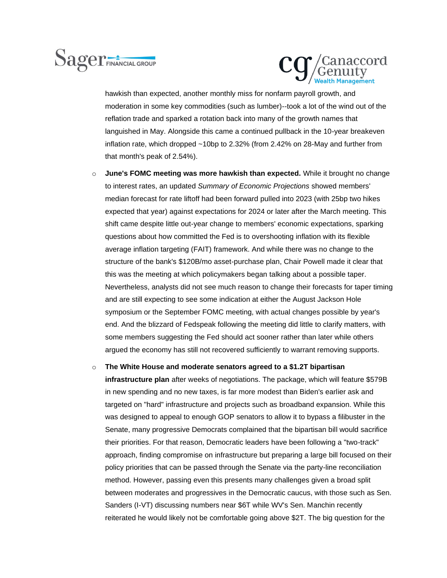# Sager FINANCIAL GROUP



hawkish than expected, another monthly miss for nonfarm payroll growth, and moderation in some key commodities (such as lumber)--took a lot of the wind out of the reflation trade and sparked a rotation back into many of the growth names that languished in May. Alongside this came a continued pullback in the 10-year breakeven inflation rate, which dropped ~10bp to 2.32% (from 2.42% on 28-May and further from that month's peak of 2.54%).

o **June's FOMC meeting was more hawkish than expected.** While it brought no change to interest rates, an updated *Summary of Economic Projections* showed members' median forecast for rate liftoff had been forward pulled into 2023 (with 25bp two hikes expected that year) against expectations for 2024 or later after the March meeting. This shift came despite little out-year change to members' economic expectations, sparking questions about how committed the Fed is to overshooting inflation with its flexible average inflation targeting (FAIT) framework. And while there was no change to the structure of the bank's \$120B/mo asset-purchase plan, Chair Powell made it clear that this was the meeting at which policymakers began talking about a possible taper. Nevertheless, analysts did not see much reason to change their forecasts for taper timing and are still expecting to see some indication at either the August Jackson Hole symposium or the September FOMC meeting, with actual changes possible by year's end. And the blizzard of Fedspeak following the meeting did little to clarify matters, with some members suggesting the Fed should act sooner rather than later while others argued the economy has still not recovered sufficiently to warrant removing supports.

### o **The White House and moderate senators agreed to a \$1.2T bipartisan**

**infrastructure plan** after weeks of negotiations. The package, which will feature \$579B in new spending and no new taxes, is far more modest than Biden's earlier ask and targeted on "hard" infrastructure and projects such as broadband expansion. While this was designed to appeal to enough GOP senators to allow it to bypass a filibuster in the Senate, many progressive Democrats complained that the bipartisan bill would sacrifice their priorities. For that reason, Democratic leaders have been following a "two-track" approach, finding compromise on infrastructure but preparing a large bill focused on their policy priorities that can be passed through the Senate via the party-line reconciliation method. However, passing even this presents many challenges given a broad split between moderates and progressives in the Democratic caucus, with those such as Sen. Sanders (I-VT) discussing numbers near \$6T while WV's Sen. Manchin recently reiterated he would likely not be comfortable going above \$2T. The big question for the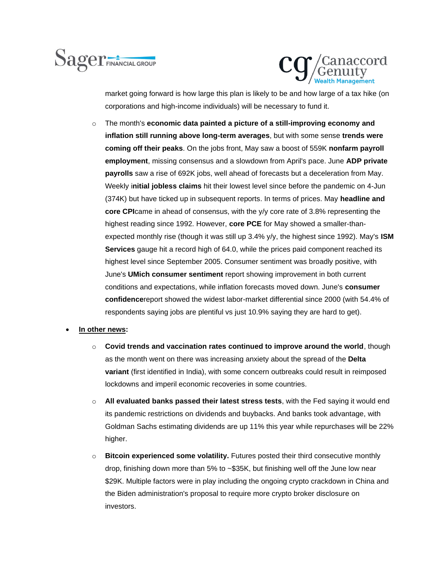



market going forward is how large this plan is likely to be and how large of a tax hike (on corporations and high-income individuals) will be necessary to fund it.

o The month's **economic data painted a picture of a still-improving economy and inflation still running above long-term averages**, but with some sense **trends were coming off their peaks**. On the jobs front, May saw a boost of 559K **nonfarm payroll employment**, missing consensus and a slowdown from April's pace. June **ADP private payrolls** saw a rise of 692K jobs, well ahead of forecasts but a deceleration from May. Weekly i**nitial jobless claims** hit their lowest level since before the pandemic on 4-Jun (374K) but have ticked up in subsequent reports. In terms of prices. May **headline and core CPI**came in ahead of consensus, with the y/y core rate of 3.8% representing the highest reading since 1992. However, **core PCE** for May showed a smaller-thanexpected monthly rise (though it was still up 3.4% y/y, the highest since 1992). May's **ISM Services** gauge hit a record high of 64.0, while the prices paid component reached its highest level since September 2005. Consumer sentiment was broadly positive, with June's **UMich consumer sentiment** report showing improvement in both current conditions and expectations, while inflation forecasts moved down. June's **consumer confidence**report showed the widest labor-market differential since 2000 (with 54.4% of respondents saying jobs are plentiful vs just 10.9% saying they are hard to get).

### • **In other news:**

- o **Covid trends and vaccination rates continued to improve around the world**, though as the month went on there was increasing anxiety about the spread of the **Delta variant** (first identified in India), with some concern outbreaks could result in reimposed lockdowns and imperil economic recoveries in some countries.
- o **All evaluated banks passed their latest stress tests**, with the Fed saying it would end its pandemic restrictions on dividends and buybacks. And banks took advantage, with Goldman Sachs estimating dividends are up 11% this year while repurchases will be 22% higher.
- o **Bitcoin experienced some volatility.** Futures posted their third consecutive monthly drop, finishing down more than 5% to ~\$35K, but finishing well off the June low near \$29K. Multiple factors were in play including the ongoing crypto crackdown in China and the Biden administration's proposal to require more crypto broker disclosure on investors.